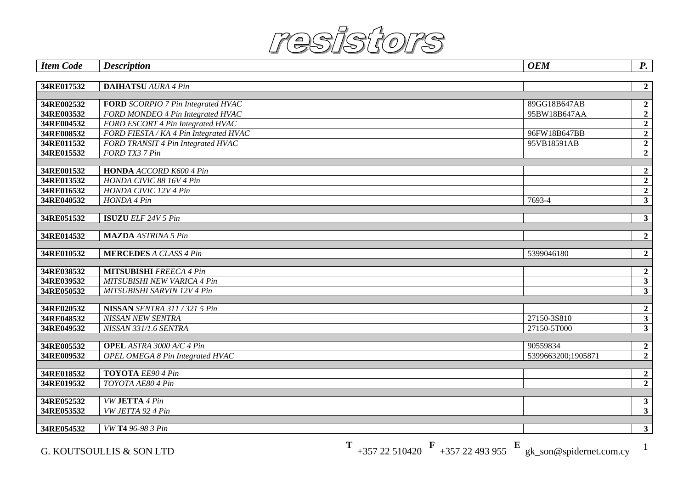

| <b>Item Code</b> | <b>Description</b>                      | <b>OEM</b>         | $P_{\cdot}$                      |
|------------------|-----------------------------------------|--------------------|----------------------------------|
|                  |                                         |                    |                                  |
| 34RE017532       | <b>DAIHATSU</b> AURA 4 Pin              |                    | $\overline{2}$                   |
|                  |                                         |                    |                                  |
| 34RE002532       | FORD SCORPIO 7 Pin Integrated HVAC      | 89GG18B647AB       | $\overline{2}$                   |
| 34RE003532       | FORD MONDEO 4 Pin Integrated HVAC       | 95BW18B647AA       | $\overline{2}$                   |
| 34RE004532       | FORD ESCORT 4 Pin Integrated HVAC       |                    | $\overline{2}$                   |
| 34RE008532       | FORD FIESTA / KA 4 Pin Integrated HVAC  | 96FW18B647BB       | $\overline{2}$                   |
| 34RE011532       | FORD TRANSIT 4 Pin Integrated HVAC      | 95VB18591AB        | $\overline{2}$                   |
| 34RE015532       | FORD TX3 7 Pin                          |                    | $\overline{2}$                   |
| 34RE001532       | <b>HONDA</b> ACCORD K600 4 Pin          |                    |                                  |
| 34RE013532       | HONDA CIVIC 88 16V 4 Pin                |                    | $\overline{2}$                   |
| 34RE016532       | HONDA CIVIC 12V 4 Pin                   |                    | $\overline{2}$<br>$\overline{2}$ |
| 34RE040532       | HONDA 4 Pin                             | 7693-4             | $\overline{\mathbf{3}}$          |
|                  |                                         |                    |                                  |
| 34RE051532       | <b>ISUZU</b> ELF 24V 5 Pin              |                    | $\overline{\mathbf{3}}$          |
|                  |                                         |                    |                                  |
| 34RE014532       | <b>MAZDA</b> ASTRINA 5 Pin              |                    | $\overline{2}$                   |
|                  |                                         |                    |                                  |
| 34RE010532       | <b>MERCEDES A CLASS 4 Pin</b>           | 5399046180         | $\overline{2}$                   |
|                  |                                         |                    |                                  |
| 34RE038532       | <b>MITSUBISHI</b> FREECA 4 Pin          |                    | $\boldsymbol{2}$                 |
| 34RE039532       | MITSUBISHI NEW VARICA 4 Pin             |                    | $\overline{\mathbf{3}}$          |
| 34RE050532       | MITSUBISHI SARVIN 12V 4 Pin             |                    | $\overline{\mathbf{3}}$          |
| 34RE020532       | NISSAN SENTRA 311 / 321 5 Pin           |                    | $\overline{\mathbf{2}}$          |
| 34RE048532       | NISSAN NEW SENTRA                       | 27150-38810        | $\overline{\mathbf{3}}$          |
| 34RE049532       | NISSAN 331/1.6 SENTRA                   | 27150-5T000        | 3                                |
|                  |                                         |                    |                                  |
| 34RE005532       | <b>OPEL</b> ASTRA 3000 A/C 4 Pin        | 90559834           | $\overline{2}$                   |
| 34RE009532       | <b>OPEL OMEGA 8 Pin Integrated HVAC</b> | 5399663200;1905871 | $\overline{2}$                   |
|                  |                                         |                    |                                  |
| 34RE018532       | <b>TOYOTA</b> EE90 4 Pin                |                    | $\mathbf{2}$                     |
| 34RE019532       | TOYOTA AE80 4 Pin                       |                    | $\overline{2}$                   |
|                  |                                         |                    |                                  |
| 34RE052532       | VW JETTA 4 Pin                          |                    | 3                                |
| 34RE053532       | VW JETTA 92 4 Pin                       |                    | $\overline{\mathbf{3}}$          |
|                  |                                         |                    |                                  |
| 34RE054532       | VW T4 96-98 3 Pin                       |                    | 3                                |

G. KOUTSOULLIS & SON LTD **T** +357 22 510420 **F** +357 22 493 955 **E** gk\_son@spidernet.com.cy <sup>1</sup>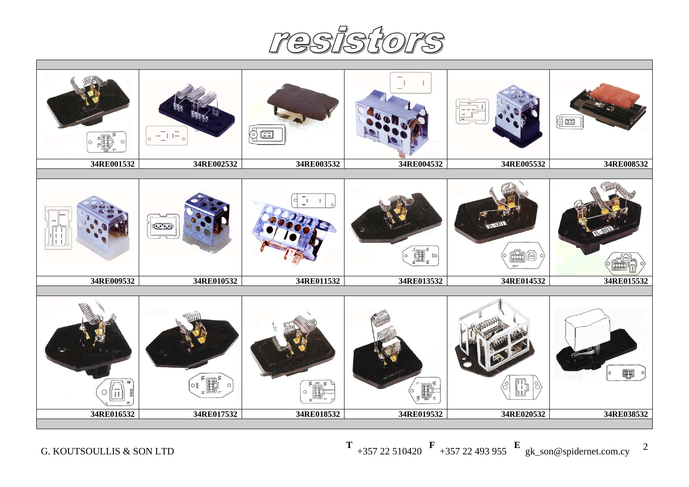resistors

| $\circledcirc$<br>5<br>$E =$<br>$-11-$<br>$\circ$<br>34RE002532<br>34RE003532<br>34RE001532<br>34RE004532<br>34RE005532<br>34RE008532<br>٦,<br>d<br>$\mathbf{I}$<br>$\sqrt{(\mathbf{e}, \mathbf{e}', \mathbf{e}')^2}$<br><b>II</b><br>召<br>$\frac{2}{3}$ O<br>ÍÌ<br>34RE009532<br>34RE010532<br>34RE011532<br>34RE013532<br>34RE014532<br>34RE015532<br>■ 9<br>0 <br>n,<br>B <sup>3</sup><br>$O_{\frac{5}{2}}$<br>$ 8\rangle$<br>3<br>34RE016532<br>34RE017532<br>34RE018532<br>34RE019532<br>34RE020532<br>34RE038532 |  |  |  |  |  |  |  |  |
|------------------------------------------------------------------------------------------------------------------------------------------------------------------------------------------------------------------------------------------------------------------------------------------------------------------------------------------------------------------------------------------------------------------------------------------------------------------------------------------------------------------------|--|--|--|--|--|--|--|--|
|                                                                                                                                                                                                                                                                                                                                                                                                                                                                                                                        |  |  |  |  |  |  |  |  |
|                                                                                                                                                                                                                                                                                                                                                                                                                                                                                                                        |  |  |  |  |  |  |  |  |
|                                                                                                                                                                                                                                                                                                                                                                                                                                                                                                                        |  |  |  |  |  |  |  |  |
|                                                                                                                                                                                                                                                                                                                                                                                                                                                                                                                        |  |  |  |  |  |  |  |  |
|                                                                                                                                                                                                                                                                                                                                                                                                                                                                                                                        |  |  |  |  |  |  |  |  |
|                                                                                                                                                                                                                                                                                                                                                                                                                                                                                                                        |  |  |  |  |  |  |  |  |
|                                                                                                                                                                                                                                                                                                                                                                                                                                                                                                                        |  |  |  |  |  |  |  |  |
|                                                                                                                                                                                                                                                                                                                                                                                                                                                                                                                        |  |  |  |  |  |  |  |  |